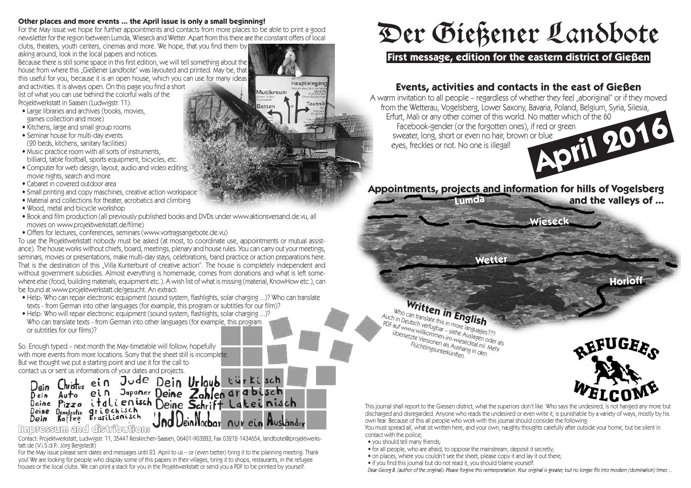#### **Other pl aces and moreevents... theApril issueis onl ya small begi nni ng!**

For the May issue we hope for further appointments and contacts from more places to be able to print a good **newsl etter fortheregi on between Lumda, Wi eseckandWetter. Apart fromthi stherearetheconstant offers ofl ocal clubs, theaters, youth centers, cinemas and more. We hope, that you find them by** 

**aski ngaround, l ooki nthel ocal papers andnoti ces.**

Because there is still some space in this first edition, we will tell something about the **housefromwherethi s "Gi eßener Landbote" wasl ayoutedand pri nted. Maybe, that thi s useful for you, becausei t i s an open house, whi ch you can usefor manyi deas andacti vi ti es. I t i s al ways open. Onthi s pageyoufi nda short**

**list** of what you can use behind the colorful walls of the **Projektwerkstatt i n Saasen(Ludwi gstr. 1 1 ):**

- $\bullet$  **Large libraries and archives (books, movies,**  $q$  **games** collection and more)
- **• Ki tchens, l argeandsmal l grouprooms**
- **Seminar house for multi-day events (20 beds, ki tchens, sani taryfacil i ti es)**
- **• Musi c practi ceroomwi th al l sorts ofi nstruments, bil l i ard, tabl efootbal l, sports equi pment, bi cycl es, etc.**
- **• Computer for webdesi gn, l ayout, audi oandvi deoedi ti ng, movi eni ghts, search and more**
- **• Cabaret i n coveredoutdoor area**
- **• Smal l pri nti ngandcopy maschi nes, creati veacti on workspace**
- **• Materi al andcol l ecti ons for theater, acrobati cs andcl i mbi ng**
- **• Wood, metal and bi cycl e workshop**
- . Book and film production (all previously published books and DVDs under www.aktionsversand.de.vu, all **movi es on www. projektwerkstatt. de/fil me)**
- **• Offers for l ectures, conferences, semi nars(www. vortragsangebote. de. vu)**

To use the Projektwerkstatt nobody must be asked (at most, to coordinate use, appointments or mutual assistance). The house works without chiefs, board, meetings, plenary and house rules. You can carry out your meetings, seminars, movies or presentations, make multi-day stays, celebrations, band practice or action preparations here. That is the destination of this "Villa Kunterbunt of creative action". The house is completely independent and<br>without government subsidies. Almost everything is homemade, comes from donations and what is left somewithout government subsidies. Almost everything is nomenlage, comes non donations and what is left some where else (1000, Ouncill Britalenais, equipment etc.). A wish list of what is missing (material, NTOWENDY, Car **befoundat www. projektwerkstatt. de/gesucht. An extract:**

- Help: Who can repair electronic equipment (sound system, flashlights, solar charging ...)? Who can translate **texts - fromGermani ntoother l anguages(for exampl e, thi s programor subti tl es for our fil m)?**
- Help: Who will repair electronic equipment (sound system, flashlights, solar charging ...)? **Whocantransl atetexts - fromGermani ntoother l anguages(for exampl e, thi s program or subti tl es for our fil ms)?**

**So. Enoughtyped−next monththe May-ti metabl e wil l fol l ow, hopeful l y wi th moreevents frommorel ocati ons. Sorrythat thesheet stil l i si ncompl ete. But wethought we put a starti ng poi nt andusei t for thecal l to**

Dein Christis ein Jude Dein Urlaub türkisch<br>Dein Auto ein Japaner Deine Zahlen arabisch<br>Deine Pizza italienisch Deine Schrift Lateinisch Deine Demokratie griechisch Dein Kaffee JeinNocbar nur ein Musländer

## Impressum and distribution:

Contact: Projektwerkstatt, Ludwigstr. 11, 35447 Reiskirchen-Saasen, 06401-903283, Fax 03212-1434654, landbote@projektwerks**tatt. de(V.i . S. d. P. : Jörg Bergstedt)**

For the May issue please sent dates and messages until 23. April to us - or (even better) bring it to the planning meeting. Thank you! We are looking for people who display some of this papers in their villages, bring it to shops, restaurants, in the refugee houses or the local clubs. We can print a stack for you in the Projektwerkstatt or send you a PDF to be printed by yourself.

# Der Gießener Landbote

# **D er G ieß en er Landbote First message, editi onfor theeastern district of Gießen**

# **Events, activities and contacts in the east of Gießen**

A warm invitation to all people – regardless of whether they feel "aboriginal" or if they moved **from the Wetterau, Vogelsberg, Lower Saxony, Bavaria, Poland, Belgium, Syria, Silesia, Erfurt, Mali or any other corner of this world. No matter which of the 60 Facebook-gender (or the forgotten ones), if red or green swe Erfurt, Mali or any other corner of this world. No matter which of the 60 Facebook-gender (or theforgotten ones), i f redor green sweater, l ong, short or even nohai r, brown or bl ue**  $e$ *yes, freckles or not.* No one is illegal!

# Appointments, projects and information for hills of Vogelsberg<br>and the valleys of ...

**and the valleys of ...** 

Nettel

**Horloff** 

# **Written in English**<br>Can translate this in **English**<br>Putsch verfügbenden more lander **Who can transl**

**more** languages???<br>Siehe Auslages??? **Auchi n Deutsch verfügbar −si ehe Ausl www. wil l agen oder al s PDF** auf www.willsch verfügbar - siehe Auguage<br>
ibersetzte Versionen-im-wiesecktagen<br>
Flüchtlingsreis als Aushan-in-mi **. Mehr Aushangi n den i ngsunterkünften.**Flüchtlingsunterkünften.



This journal shall report to the Giessen district, what the superiors don't like. Who says the undesired, is not hanged any more but discharged and disregarded. Anyone who reads the undesired or even write it, is punishable by a variety of ways, mostly by his own fear. Because of this all people who work with this journal should consider the following:

You must spread all, what ist written here, and your own, naughty thoughts carefully after outside your home, but be silent in **contact** with the police:

- $\bullet$  you should tell many friends
- **• for al l peopl e, whoareafrai d, toopposethe mai nstream, deposi t i t secretl y;**
- **• on pl aces, whereyou coul dn't seethesheet, pl easecopyi <sup>t</sup> andl ayi <sup>t</sup> out there;**
- 

• if you find this journal but do not read it, you should blame yourself.<br>Dear Georg B. (author of the original): Please forgive this reinterpretation. Your original is greater, but no longer fits into modern (domination)